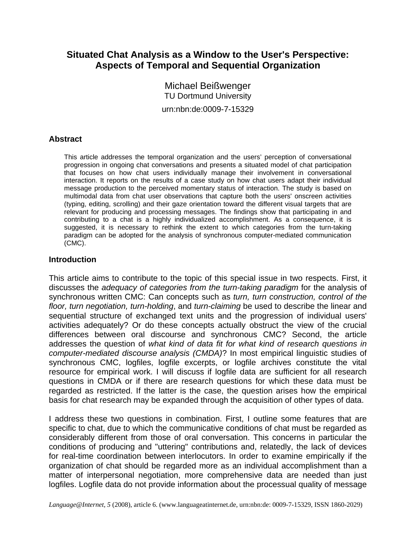# **Situated Chat Analysis as a Window to the User's Perspective: Aspects of Temporal and Sequential Organization**

Michael Beißwenger TU Dortmund University urn:nbn:de:0009-7-15329

## **Abstract**

This article addresses the temporal organization and the users' perception of conversational progression in ongoing chat conversations and presents a situated model of chat participation that focuses on how chat users individually manage their involvement in conversational interaction. It reports on the results of a case study on how chat users adapt their individual message production to the perceived momentary status of interaction. The study is based on multimodal data from chat user observations that capture both the users' onscreen activities (typing, editing, scrolling) and their gaze orientation toward the different visual targets that are relevant for producing and processing messages. The findings show that participating in and contributing to a chat is a highly individualized accomplishment. As a consequence, it is suggested, it is necessary to rethink the extent to which categories from the turn-taking paradigm can be adopted for the analysis of synchronous computer-mediated communication (CMC).

### **Introduction**

This article aims to contribute to the topic of this special issue in two respects. First, it discusses the *adequacy of categories from the turn-taking paradigm* for the analysis of synchronous written CMC: Can concepts such as *turn, turn construction, control of the floor, turn negotiation, turn-holding*, and *turn-claiming* be used to describe the linear and sequential structure of exchanged text units and the progression of individual users' activities adequately? Or do these concepts actually obstruct the view of the crucial differences between oral discourse and synchronous CMC? Second, the article addresses the question of *what kind of data fit for what kind of research questions in computer-mediated discourse analysis (CMDA)*? In most empirical linguistic studies of synchronous CMC, logfiles, logfile excerpts, or logfile archives constitute the vital resource for empirical work. I will discuss if logfile data are sufficient for all research questions in CMDA or if there are research questions for which these data must be regarded as restricted. If the latter is the case, the question arises how the empirical basis for chat research may be expanded through the acquisition of other types of data.

I address these two questions in combination. First, I outline some features that are specific to chat, due to which the communicative conditions of chat must be regarded as considerably different from those of oral conversation. This concerns in particular the conditions of producing and "uttering" contributions and, relatedly, the lack of devices for real-time coordination between interlocutors. In order to examine empirically if the organization of chat should be regarded more as an individual accomplishment than a matter of interpersonal negotiation, more comprehensive data are needed than just logfiles. Logfile data do not provide information about the processual quality of message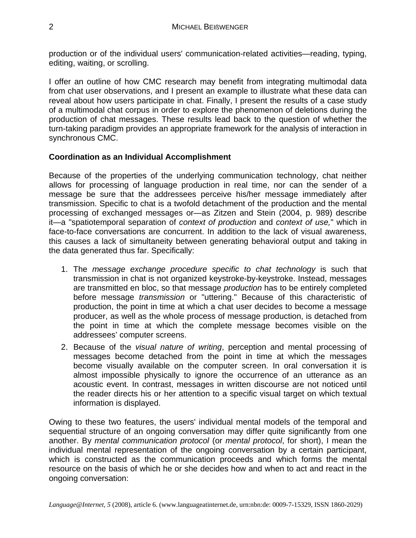production or of the individual users' communication-related activities—reading, typing, editing, waiting, or scrolling.

I offer an outline of how CMC research may benefit from integrating multimodal data from chat user observations, and I present an example to illustrate what these data can reveal about how users participate in chat. Finally, I present the results of a case study of a multimodal chat corpus in order to explore the phenomenon of deletions during the production of chat messages. These results lead back to the question of whether the turn-taking paradigm provides an appropriate framework for the analysis of interaction in synchronous CMC.

# **Coordination as an Individual Accomplishment**

Because of the properties of the underlying communication technology, chat neither allows for processing of language production in real time, nor can the sender of a message be sure that the addressees perceive his/her message immediately after transmission. Specific to chat is a twofold detachment of the production and the mental processing of exchanged messages or—as Zitzen and Stein (2004, p. 989) describe it—a "spatiotemporal separation of *context of production* and *context of use,*" which in face-to-face conversations are concurrent. In addition to the lack of visual awareness, this causes a lack of simultaneity between generating behavioral output and taking in the data generated thus far. Specifically:

- 1. The *message exchange procedure specific to chat technology* is such that transmission in chat is not organized keystroke-by-keystroke. Instead, messages are transmitted en bloc, so that message *production* has to be entirely completed before message *transmission* or "uttering." Because of this characteristic of production, the point in time at which a chat user decides to become a message producer, as well as the whole process of message production, is detached from the point in time at which the complete message becomes visible on the addressees' computer screens.
- 2. Because of the *visual nature of writing*, perception and mental processing of messages become detached from the point in time at which the messages become visually available on the computer screen. In oral conversation it is almost impossible physically to ignore the occurrence of an utterance as an acoustic event. In contrast, messages in written discourse are not noticed until the reader directs his or her attention to a specific visual target on which textual information is displayed.

Owing to these two features, the users' individual mental models of the temporal and sequential structure of an ongoing conversation may differ quite significantly from one another. By *mental communication protocol* (or *mental protocol*, for short), I mean the individual mental representation of the ongoing conversation by a certain participant, which is constructed as the communication proceeds and which forms the mental resource on the basis of which he or she decides how and when to act and react in the ongoing conversation: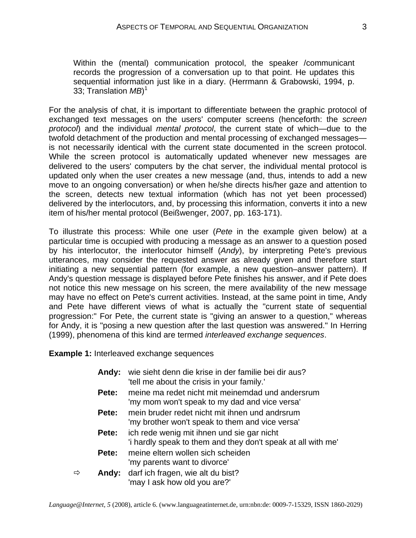Within the (mental) communication protocol, the speaker /communicant records the progression of a conversation up to that point. He updates this sequential information just like in a diary. (Herrmann & Grabowski, 1994, p. 33; Translation *MB*) 1

For the analysis of chat, it is important to differentiate between the graphic protocol of exchanged text messages on the users' computer screens (henceforth: the *screen protocol*) and the individual *mental protocol*, the current state of which—due to the twofold detachment of the production and mental processing of exchanged messages is not necessarily identical with the current state documented in the screen protocol. While the screen protocol is automatically updated whenever new messages are delivered to the users' computers by the chat server, the individual mental protocol is updated only when the user creates a new message (and, thus, intends to add a new move to an ongoing conversation) or when he/she directs his/her gaze and attention to the screen, detects new textual information (which has not yet been processed) delivered by the interlocutors, and, by processing this information, converts it into a new item of his/her mental protocol (Beißwenger, 2007, pp. 163-171).

To illustrate this process: While one user (*Pete* in the example given below) at a particular time is occupied with producing a message as an answer to a question posed by his interlocutor, the interlocutor himself (*Andy*), by interpreting Pete's previous utterances, may consider the requested answer as already given and therefore start initiating a new sequential pattern (for example, a new question–answer pattern). If Andy's question message is displayed before Pete finishes his answer, and if Pete does not notice this new message on his screen, the mere availability of the new message may have no effect on Pete's current activities. Instead, at the same point in time, Andy and Pete have different views of what is actually the "current state of sequential progression:" For Pete, the current state is "giving an answer to a question," whereas for Andy, it is "posing a new question after the last question was answered." In Herring (1999), phenomena of this kind are termed *interleaved exchange sequences*.

**Example 1:** Interleaved exchange sequences

| Andy:      | wie sieht denn die krise in der familie bei dir aus?<br>'tell me about the crisis in your family.'         |
|------------|------------------------------------------------------------------------------------------------------------|
| Pete:      | meine ma redet nicht mit meinemdad und andersrum<br>'my mom won't speak to my dad and vice versa'          |
| Pete:      | mein bruder redet nicht mit ihnen und andrsrum<br>'my brother won't speak to them and vice versa'          |
| Pete:      | ich rede wenig mit ihnen und sie gar nicht<br>'i hardly speak to them and they don't speak at all with me' |
| Pete:      | meine eltern wollen sich scheiden<br>'my parents want to divorce'                                          |
| Andy:<br>⇨ | darf ich fragen, wie alt du bist?<br>'may I ask how old you are?'                                          |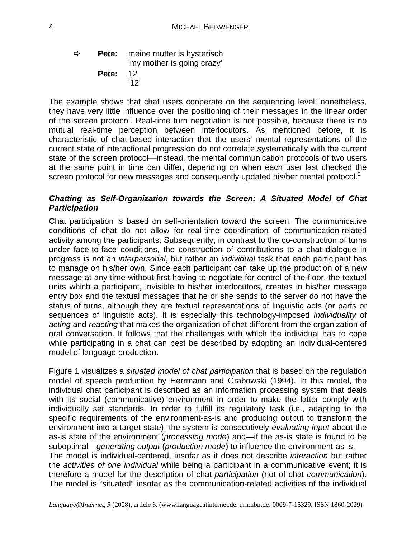$\Rightarrow$  **Pete:** meine mutter is hysterisch 'my mother is going crazy' **Pete:** 12 '12'

The example shows that chat users cooperate on the sequencing level; nonetheless, they have very little influence over the positioning of their messages in the linear order of the screen protocol. Real-time turn negotiation is not possible, because there is no mutual real-time perception between interlocutors. As mentioned before, it is characteristic of chat-based interaction that the users' mental representations of the current state of interactional progression do not correlate systematically with the current state of the screen protocol—instead, the mental communication protocols of two users at the same point in time can differ, depending on when each user last checked the screen protocol for new messages and consequently updated his/her mental protocol.<sup>2</sup>

## *Chatting as Self-Organization towards the Screen: A Situated Model of Chat Participation*

Chat participation is based on self-orientation toward the screen. The communicative conditions of chat do not allow for real-time coordination of communication-related activity among the participants. Subsequently, in contrast to the co-construction of turns under face-to-face conditions, the construction of contributions to a chat dialogue in progress is not an *interpersonal*, but rather an *individual* task that each participant has to manage on his/her own. Since each participant can take up the production of a new message at any time without first having to negotiate for control of the floor, the textual units which a participant, invisible to his/her interlocutors, creates in his/her message entry box and the textual messages that he or she sends to the server do not have the status of turns, although they are textual representations of linguistic acts (or parts or sequences of linguistic acts). It is especially this technology-imposed *individuality* of *acting* and *reacting* that makes the organization of chat different from the organization of oral conversation. It follows that the challenges with which the individual has to cope while participating in a chat can best be described by adopting an individual-centered model of language production.

Figure 1 visualizes a *situated model of chat participation* that is based on the regulation model of speech production by Herrmann and Grabowski (1994). In this model, the individual chat participant is described as an information processing system that deals with its social (communicative) environment in order to make the latter comply with individually set standards. In order to fulfill its regulatory task (i.e., adapting to the specific requirements of the environment-as-is and producing output to transform the environment into a target state), the system is consecutively *evaluating input* about the as-is state of the environment (*processing mode*) and—if the as-is state is found to be suboptimal—*generating output* (*production mode*) to influence the environment-as-is. The model is individual-centered, insofar as it does not describe *interaction* but rather the *activities of one individual* while being a participant in a communicative event; it is therefore a model for the description of chat *participation* (not of chat *communication*). The model is "situated" insofar as the communication-related activities of the individual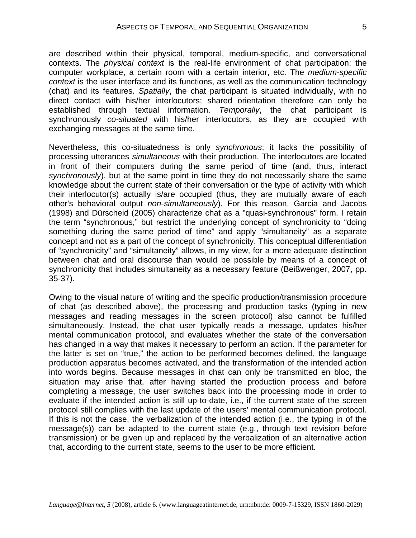are described within their physical, temporal, medium-specific, and conversational contexts. The *physical context* is the real-life environment of chat participation: the computer workplace, a certain room with a certain interior, etc. The *medium-specific context* is the user interface and its functions, as well as the communication technology (chat) and its features. *Spatially*, the chat participant is situated individually, with no direct contact with his/her interlocutors; shared orientation therefore can only be established through textual information. *Temporally*, the chat participant is synchronously *co-situated* with his/her interlocutors, as they are occupied with exchanging messages at the same time.

Nevertheless, this co-situatedness is only *synchronous*; it lacks the possibility of processing utterances *simultaneous* with their production. The interlocutors are located in front of their computers during the same period of time (and, thus, interact *synchronously*), but at the same point in time they do not necessarily share the same knowledge about the current state of their conversation or the type of activity with which their interlocutor(s) actually is/are occupied (thus, they are mutually aware of each other's behavioral output *non-simultaneously*). For this reason, Garcia and Jacobs (1998) and Dürscheid (2005) characterize chat as a "quasi-synchronous" form. I retain the term "synchronous," but restrict the underlying concept of synchronicity to "doing something during the same period of time" and apply "simultaneity" as a separate concept and not as a part of the concept of synchronicity. This conceptual differentiation of "synchronicity" and "simultaneity" allows, in my view, for a more adequate distinction between chat and oral discourse than would be possible by means of a concept of synchronicity that includes simultaneity as a necessary feature (Beißwenger, 2007, pp. 35-37).

Owing to the visual nature of writing and the specific production/transmission procedure of chat (as described above), the processing and production tasks (typing in new messages and reading messages in the screen protocol) also cannot be fulfilled simultaneously. Instead, the chat user typically reads a message, updates his/her mental communication protocol, and evaluates whether the state of the conversation has changed in a way that makes it necessary to perform an action. If the parameter for the latter is set on "true," the action to be performed becomes defined, the language production apparatus becomes activated, and the transformation of the intended action into words begins. Because messages in chat can only be transmitted en bloc, the situation may arise that, after having started the production process and before completing a message, the user switches back into the processing mode in order to evaluate if the intended action is still up-to-date, i.e., if the current state of the screen protocol still complies with the last update of the users' mental communication protocol. If this is not the case, the verbalization of the intended action (i.e., the typing in of the message(s)) can be adapted to the current state (e.g., through text revision before transmission) or be given up and replaced by the verbalization of an alternative action that, according to the current state, seems to the user to be more efficient.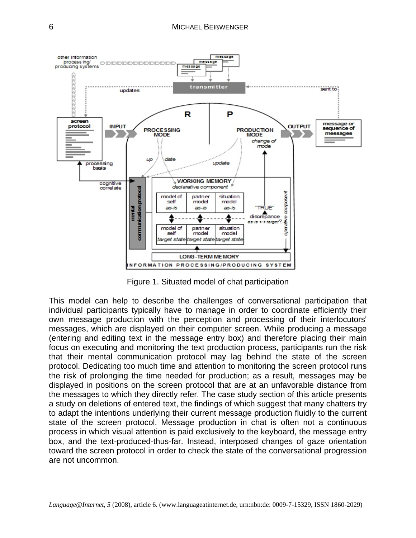

Figure 1. Situated model of chat participation

This model can help to describe the challenges of conversational participation that individual participants typically have to manage in order to coordinate efficiently their own message production with the perception and processing of their interlocutors' messages, which are displayed on their computer screen. While producing a message (entering and editing text in the message entry box) and therefore placing their main focus on executing and monitoring the text production process, participants run the risk that their mental communication protocol may lag behind the state of the screen protocol. Dedicating too much time and attention to monitoring the screen protocol runs the risk of prolonging the time needed for production; as a result, messages may be displayed in positions on the screen protocol that are at an unfavorable distance from the messages to which they directly refer. The case study section of this article presents a study on deletions of entered text, the findings of which suggest that many chatters try to adapt the intentions underlying their current message production fluidly to the current state of the screen protocol. Message production in chat is often not a continuous process in which visual attention is paid exclusively to the keyboard, the message entry box, and the text-produced-thus-far. Instead, interposed changes of gaze orientation toward the screen protocol in order to check the state of the conversational progression are not uncommon.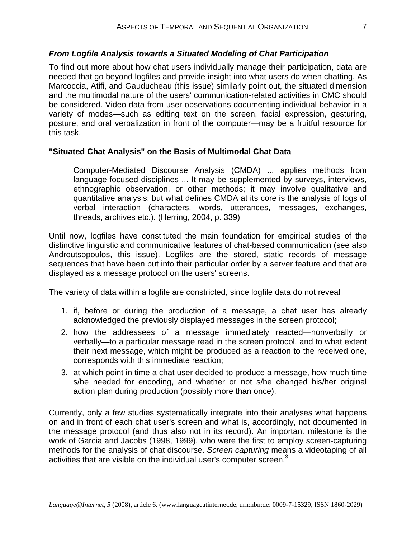### *From Logfile Analysis towards a Situated Modeling of Chat Participation*

To find out more about how chat users individually manage their participation, data are needed that go beyond logfiles and provide insight into what users do when chatting. As Marcoccia, Atifi, and Gauducheau (this issue) similarly point out, the situated dimension and the multimodal nature of the users' communication-related activities in CMC should be considered. Video data from user observations documenting individual behavior in a variety of modes—such as editing text on the screen, facial expression, gesturing, posture, and oral verbalization in front of the computer—may be a fruitful resource for this task.

#### **"Situated Chat Analysis" on the Basis of Multimodal Chat Data**

Computer-Mediated Discourse Analysis (CMDA) ... applies methods from language-focused disciplines ... It may be supplemented by surveys, interviews, ethnographic observation, or other methods; it may involve qualitative and quantitative analysis; but what defines CMDA at its core is the analysis of logs of verbal interaction (characters, words, utterances, messages, exchanges, threads, archives etc.). (Herring, 2004, p. 339)

Until now, logfiles have constituted the main foundation for empirical studies of the distinctive linguistic and communicative features of chat-based communication (see also Androutsopoulos, this issue). Logfiles are the stored, static records of message sequences that have been put into their particular order by a server feature and that are displayed as a message protocol on the users' screens.

The variety of data within a logfile are constricted, since logfile data do not reveal

- 1. if, before or during the production of a message, a chat user has already acknowledged the previously displayed messages in the screen protocol;
- 2. how the addressees of a message immediately reacted—nonverbally or verbally—to a particular message read in the screen protocol, and to what extent their next message, which might be produced as a reaction to the received one, corresponds with this immediate reaction;
- 3. at which point in time a chat user decided to produce a message, how much time s/he needed for encoding, and whether or not s/he changed his/her original action plan during production (possibly more than once).

Currently, only a few studies systematically integrate into their analyses what happens on and in front of each chat user's screen and what is, accordingly, not documented in the message protocol (and thus also not in its record). An important milestone is the work of Garcia and Jacobs (1998, 1999), who were the first to employ screen-capturing methods for the analysis of chat discourse. *Screen capturing* means a videotaping of all activities that are visible on the individual user's computer screen.<sup>3</sup>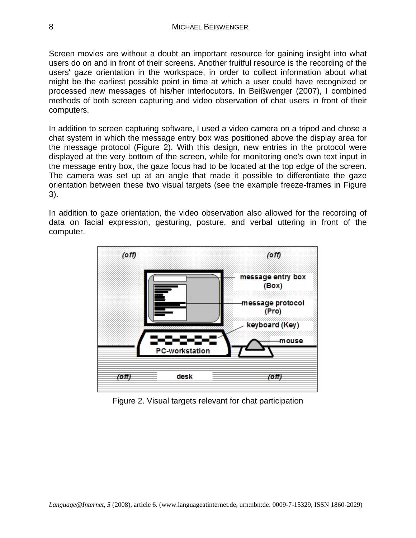Screen movies are without a doubt an important resource for gaining insight into what users do on and in front of their screens. Another fruitful resource is the recording of the users' gaze orientation in the workspace, in order to collect information about what might be the earliest possible point in time at which a user could have recognized or processed new messages of his/her interlocutors. In Beißwenger (2007), I combined methods of both screen capturing and video observation of chat users in front of their computers.

In addition to screen capturing software, I used a video camera on a tripod and chose a chat system in which the message entry box was positioned above the display area for the message protocol (Figure 2). With this design, new entries in the protocol were displayed at the very bottom of the screen, while for monitoring one's own text input in the message entry box, the gaze focus had to be located at the top edge of the screen. The camera was set up at an angle that made it possible to differentiate the gaze orientation between these two visual targets (see the example freeze-frames in Figure 3).

In addition to gaze orientation, the video observation also allowed for the recording of data on facial expression, gesturing, posture, and verbal uttering in front of the computer.



Figure 2. Visual targets relevant for chat participation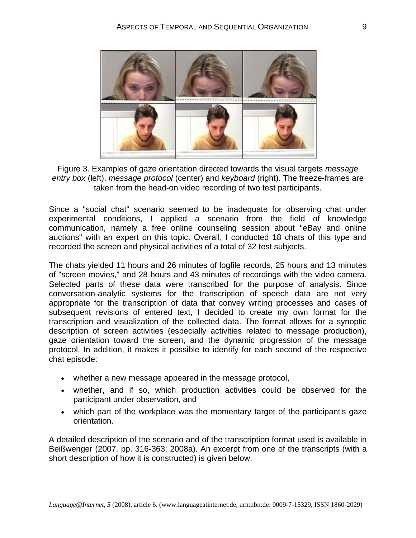

Figure 3. Examples of gaze orientation directed towards the visual targets *message entry box* (left), *message protocol* (center) and *keyboard* (right). The freeze-frames are taken from the head-on video recording of two test participants.

Since a "social chat" scenario seemed to be inadequate for observing chat under experimental conditions, I applied a scenario from the field of knowledge communication, namely a free online counseling session about "eBay and online auctions" with an expert on this topic. Overall, I conducted 18 chats of this type and recorded the screen and physical activities of a total of 32 test subjects.

The chats yielded 11 hours and 26 minutes of logfile records, 25 hours and 13 minutes of "screen movies," and 28 hours and 43 minutes of recordings with the video camera. Selected parts of these data were transcribed for the purpose of analysis. Since conversation-analytic systems for the transcription of speech data are not very appropriate for the transcription of data that convey writing processes and cases of subsequent revisions of entered text, I decided to create my own format for the transcription and visualization of the collected data. The format allows for a synoptic description of screen activities (especially activities related to message production), gaze orientation toward the screen, and the dynamic progression of the message protocol. In addition, it makes it possible to identify for each second of the respective chat episode:

- whether a new message appeared in the message protocol,
- whether, and if so, which production activities could be observed for the participant under observation, and
- which part of the workplace was the momentary target of the participant's gaze orientation.

A detailed description of the scenario and of the transcription format used is available in Beißwenger (2007, pp. 316-363; 2008a). An excerpt from one of the transcripts (with a short description of how it is constructed) is given below.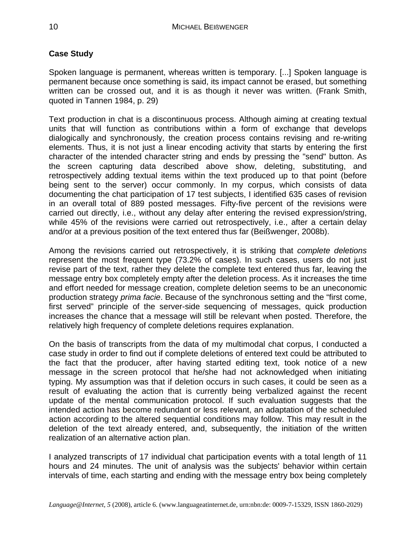# **Case Study**

Spoken language is permanent, whereas written is temporary. [...] Spoken language is permanent because once something is said, its impact cannot be erased, but something written can be crossed out, and it is as though it never was written. (Frank Smith, quoted in Tannen 1984, p. 29)

Text production in chat is a discontinuous process. Although aiming at creating textual units that will function as contributions within a form of exchange that develops dialogically and synchronously, the creation process contains revising and re-writing elements. Thus, it is not just a linear encoding activity that starts by entering the first character of the intended character string and ends by pressing the "send" button. As the screen capturing data described above show, deleting, substituting, and retrospectively adding textual items within the text produced up to that point (before being sent to the server) occur commonly. In my corpus, which consists of data documenting the chat participation of 17 test subjects, I identified 635 cases of revision in an overall total of 889 posted messages. Fifty-five percent of the revisions were carried out directly, i.e., without any delay after entering the revised expression/string, while 45% of the revisions were carried out retrospectively, i.e., after a certain delay and/or at a previous position of the text entered thus far (Beißwenger, 2008b).

Among the revisions carried out retrospectively, it is striking that *complete deletions* represent the most frequent type (73.2% of cases). In such cases, users do not just revise part of the text, rather they delete the complete text entered thus far, leaving the message entry box completely empty after the deletion process. As it increases the time and effort needed for message creation, complete deletion seems to be an uneconomic production strategy *prima facie*. Because of the synchronous setting and the "first come, first served" principle of the server-side sequencing of messages, quick production increases the chance that a message will still be relevant when posted. Therefore, the relatively high frequency of complete deletions requires explanation.

On the basis of transcripts from the data of my multimodal chat corpus, I conducted a case study in order to find out if complete deletions of entered text could be attributed to the fact that the producer, after having started editing text, took notice of a new message in the screen protocol that he/she had not acknowledged when initiating typing. My assumption was that if deletion occurs in such cases, it could be seen as a result of evaluating the action that is currently being verbalized against the recent update of the mental communication protocol. If such evaluation suggests that the intended action has become redundant or less relevant, an adaptation of the scheduled action according to the altered sequential conditions may follow. This may result in the deletion of the text already entered, and, subsequently, the initiation of the written realization of an alternative action plan.

I analyzed transcripts of 17 individual chat participation events with a total length of 11 hours and 24 minutes. The unit of analysis was the subjects' behavior within certain intervals of time, each starting and ending with the message entry box being completely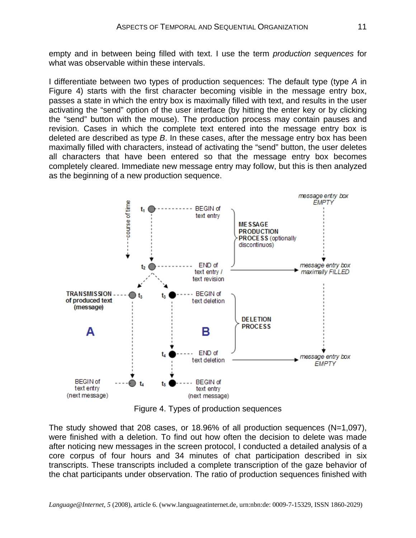empty and in between being filled with text. I use the term *production sequences* for what was observable within these intervals.

I differentiate between two types of production sequences: The default type (type *A* in Figure 4) starts with the first character becoming visible in the message entry box, passes a state in which the entry box is maximally filled with text, and results in the user activating the "send" option of the user interface (by hitting the enter key or by clicking the "send" button with the mouse). The production process may contain pauses and revision. Cases in which the complete text entered into the message entry box is deleted are described as type *B*. In these cases, after the message entry box has been maximally filled with characters, instead of activating the "send" button, the user deletes all characters that have been entered so that the message entry box becomes completely cleared. Immediate new message entry may follow, but this is then analyzed as the beginning of a new production sequence.



Figure 4. Types of production sequences

The study showed that 208 cases, or 18.96% of all production sequences  $(N=1,097)$ , were finished with a deletion. To find out how often the decision to delete was made after noticing new messages in the screen protocol, I conducted a detailed analysis of a core corpus of four hours and 34 minutes of chat participation described in six transcripts. These transcripts included a complete transcription of the gaze behavior of the chat participants under observation. The ratio of production sequences finished with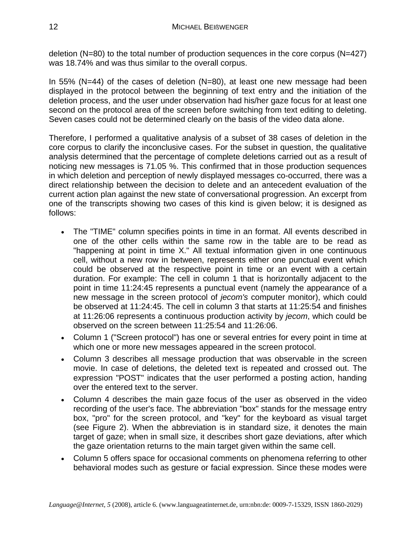deletion (N=80) to the total number of production sequences in the core corpus (N=427) was 18.74% and was thus similar to the overall corpus.

In 55% (N=44) of the cases of deletion (N=80), at least one new message had been displayed in the protocol between the beginning of text entry and the initiation of the deletion process, and the user under observation had his/her gaze focus for at least one second on the protocol area of the screen before switching from text editing to deleting. Seven cases could not be determined clearly on the basis of the video data alone.

Therefore, I performed a qualitative analysis of a subset of 38 cases of deletion in the core corpus to clarify the inconclusive cases. For the subset in question, the qualitative analysis determined that the percentage of complete deletions carried out as a result of noticing new messages is 71.05 %. This confirmed that in those production sequences in which deletion and perception of newly displayed messages co-occurred, there was a direct relationship between the decision to delete and an antecedent evaluation of the current action plan against the new state of conversational progression. An excerpt from one of the transcripts showing two cases of this kind is given below; it is designed as follows:

- The "TIME" column specifies points in time in an format. All events described in one of the other cells within the same row in the table are to be read as "happening at point in time X." All textual information given in one continuous cell, without a new row in between, represents either one punctual event which could be observed at the respective point in time or an event with a certain duration. For example: The cell in column 1 that is horizontally adjacent to the point in time 11:24:45 represents a punctual event (namely the appearance of a new message in the screen protocol of *jecom's* computer monitor), which could be observed at 11:24:45. The cell in column 3 that starts at 11:25:54 and finishes at 11:26:06 represents a continuous production activity by *jecom*, which could be observed on the screen between 11:25:54 and 11:26:06.
- Column 1 ("Screen protocol") has one or several entries for every point in time at which one or more new messages appeared in the screen protocol.
- Column 3 describes all message production that was observable in the screen movie. In case of deletions, the deleted text is repeated and crossed out. The expression "POST" indicates that the user performed a posting action, handing over the entered text to the server.
- Column 4 describes the main gaze focus of the user as observed in the video recording of the user's face. The abbreviation "box" stands for the message entry box, "pro" for the screen protocol, and "key" for the keyboard as visual target (see Figure 2). When the abbreviation is in standard size, it denotes the main target of gaze; when in small size, it describes short gaze deviations, after which the gaze orientation returns to the main target given within the same cell.
- Column 5 offers space for occasional comments on phenomena referring to other behavioral modes such as gesture or facial expression. Since these modes were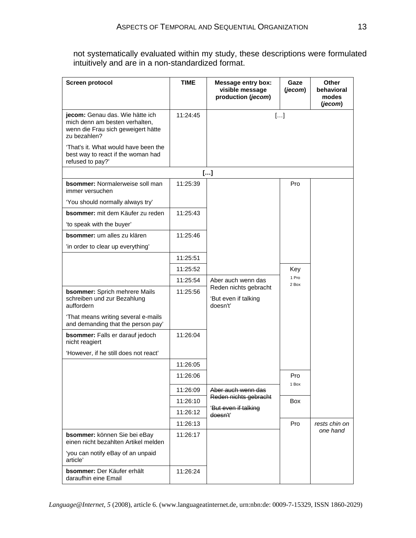not systematically evaluated within my study, these descriptions were formulated intuitively and are in a non-standardized format.

| <b>Screen protocol</b>                                                                                                  | <b>TIME</b> | <b>Message entry box:</b><br>visible message<br>production (jecom) | Gaze<br>(jecom) | Other<br>behavioral<br>modes<br>(jecom) |
|-------------------------------------------------------------------------------------------------------------------------|-------------|--------------------------------------------------------------------|-----------------|-----------------------------------------|
| jecom: Genau das. Wie hätte ich<br>mich denn am besten verhalten,<br>wenn die Frau sich geweigert hätte<br>zu bezahlen? | 11:24:45    |                                                                    | []              |                                         |
| 'That's it. What would have been the<br>best way to react if the woman had<br>refused to pay?'                          |             |                                                                    |                 |                                         |
|                                                                                                                         |             | []                                                                 |                 |                                         |
| bsommer: Normalerweise soll man<br>immer versuchen                                                                      | 11:25:39    |                                                                    | Pro             |                                         |
| 'You should normally always try'                                                                                        |             |                                                                    |                 |                                         |
| bsommer: mit dem Käufer zu reden                                                                                        | 11:25:43    |                                                                    |                 |                                         |
| 'to speak with the buyer'                                                                                               |             |                                                                    |                 |                                         |
| <b>bsommer:</b> um alles zu klären                                                                                      | 11:25:46    |                                                                    |                 |                                         |
| 'in order to clear up everything'                                                                                       |             |                                                                    |                 |                                         |
|                                                                                                                         | 11:25:51    |                                                                    |                 |                                         |
|                                                                                                                         | 11:25:52    |                                                                    | Key             |                                         |
|                                                                                                                         | 11:25:54    | Aber auch wenn das                                                 | 1 Pro<br>2 Box  |                                         |
| <b>bsommer:</b> Sprich mehrere Mails<br>schreiben und zur Bezahlung<br>auffordern                                       | 11:25:56    | Reden nichts gebracht<br>'But even if talking<br>doesn't'          |                 |                                         |
| 'That means writing several e-mails<br>and demanding that the person pay'                                               |             |                                                                    |                 |                                         |
| bsommer: Falls er darauf jedoch<br>nicht reagiert                                                                       | 11:26:04    |                                                                    |                 |                                         |
| 'However, if he still does not react'                                                                                   |             |                                                                    |                 |                                         |
|                                                                                                                         | 11:26:05    |                                                                    |                 |                                         |
|                                                                                                                         | 11:26:06    |                                                                    | Pro             |                                         |
|                                                                                                                         | 11:26:09    | Aber auch wenn das                                                 | 1 Box           |                                         |
|                                                                                                                         | 11:26:10    | Reden nichts gebracht                                              | Box             |                                         |
|                                                                                                                         | 11:26:12    | 'But even if talking<br>doesn't'                                   |                 |                                         |
|                                                                                                                         | 11:26:13    |                                                                    | Pro             | rests chin on                           |
| bsommer: können Sie bei eBay<br>einen nicht bezahlten Artikel melden                                                    | 11:26:17    |                                                                    |                 | one hand                                |
| 'you can notify eBay of an unpaid<br>article'                                                                           |             |                                                                    |                 |                                         |
| bsommer: Der Käufer erhält<br>daraufhin eine Email                                                                      | 11:26:24    |                                                                    |                 |                                         |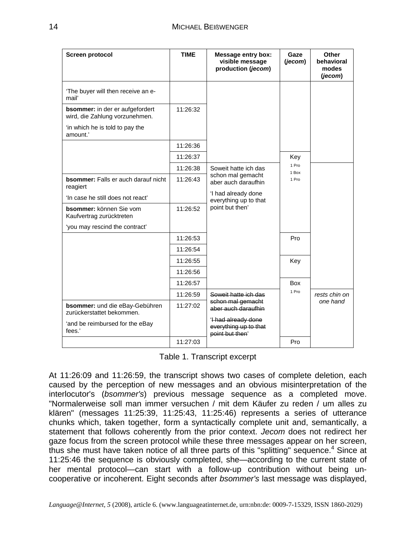| <b>Screen protocol</b>                                                   | <b>TIME</b> | <b>Message entry box:</b><br>visible message<br>production (jecom) | Gaze<br>(jecom) | <b>Other</b><br>behavioral<br>modes<br>(jecom) |
|--------------------------------------------------------------------------|-------------|--------------------------------------------------------------------|-----------------|------------------------------------------------|
| 'The buyer will then receive an e-<br>mail'                              |             |                                                                    |                 |                                                |
| <b>bsommer:</b> in der er aufgefordert<br>wird, die Zahlung vorzunehmen. | 11:26:32    |                                                                    |                 |                                                |
| 'in which he is told to pay the<br>amount.'                              |             |                                                                    |                 |                                                |
|                                                                          | 11:26:36    |                                                                    |                 |                                                |
|                                                                          | 11:26:37    |                                                                    | Key             |                                                |
|                                                                          | 11:26:38    | Soweit hatte ich das                                               | 1 Pro<br>1 Box  |                                                |
| <b>bsommer:</b> Falls er auch darauf nicht<br>reagiert                   | 11:26:43    | schon mal gemacht<br>aber auch daraufhin                           | 1 Pro           |                                                |
| 'In case he still does not react'                                        |             | 'I had already done<br>everything up to that<br>point but then'    |                 |                                                |
| <b>bsommer:</b> können Sie vom<br>Kaufvertrag zurücktreten               | 11:26:52    |                                                                    |                 |                                                |
| 'you may rescind the contract'                                           |             |                                                                    |                 |                                                |
|                                                                          | 11:26:53    |                                                                    | Pro             |                                                |
|                                                                          | 11:26:54    |                                                                    |                 |                                                |
|                                                                          | 11:26:55    |                                                                    | Key             |                                                |
|                                                                          | 11:26:56    |                                                                    |                 |                                                |
|                                                                          | 11:26:57    |                                                                    | <b>Box</b>      |                                                |
|                                                                          | 11:26:59    | Soweit hatte ich das                                               | 1 Pro           | rests chin on                                  |
| bsommer: und die eBay-Gebühren<br>zurückerstattet bekommen.              | 11:27:02    | schon mal gemacht<br>aber auch daraufhin                           |                 | one hand                                       |
| 'and be reimbursed for the eBay<br>fees.'                                |             | 'I had already done<br>everything up to that<br>point but then'    |                 |                                                |
|                                                                          | 11:27:03    |                                                                    | Pro             |                                                |

Table 1. Transcript excerpt

At 11:26:09 and 11:26:59, the transcript shows two cases of complete deletion, each caused by the perception of new messages and an obvious misinterpretation of the interlocutor's (*bsommer's*) previous message sequence as a completed move. "Normalerweise soll man immer versuchen / mit dem Käufer zu reden / um alles zu klären" (messages 11:25:39, 11:25:43, 11:25:46) represents a series of utterance chunks which, taken together, form a syntactically complete unit and, semantically, a statement that follows coherently from the prior context. *Jecom* does not redirect her gaze focus from the screen protocol while these three messages appear on her screen, thus she must have taken notice of all three parts of this "splitting" sequence.<sup>4</sup> Since at 11:25:46 the sequence is obviously completed, she—according to the current state of her mental protocol—can start with a follow-up contribution without being uncooperative or incoherent. Eight seconds after *bsommer's* last message was displayed,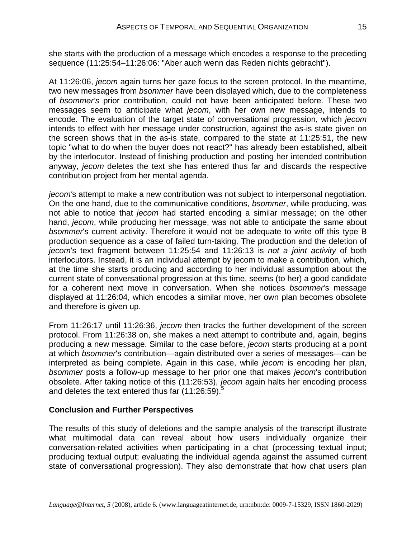she starts with the production of a message which encodes a response to the preceding sequence (11:25:54–11:26:06: "Aber auch wenn das Reden nichts gebracht").

At 11:26:06, *jecom* again turns her gaze focus to the screen protocol. In the meantime, two new messages from *bsommer* have been displayed which, due to the completeness of *bsommer's* prior contribution, could not have been anticipated before. These two messages seem to anticipate what *jecom*, with her own new message, intends to encode. The evaluation of the target state of conversational progression, which *jecom* intends to effect with her message under construction, against the as-is state given on the screen shows that in the as-is state, compared to the state at 11:25:51, the new topic "what to do when the buyer does not react?" has already been established, albeit by the interlocutor. Instead of finishing production and posting her intended contribution anyway, *jecom* deletes the text she has entered thus far and discards the respective contribution project from her mental agenda.

*jecom'*s attempt to make a new contribution was not subject to interpersonal negotiation. On the one hand, due to the communicative conditions, *bsommer*, while producing, was not able to notice that *jecom* had started encoding a similar message; on the other hand, *jecom*, while producing her message, was not able to anticipate the same about *bsommer*'s current activity. Therefore it would not be adequate to write off this type B production sequence as a case of failed turn-taking. The production and the deletion of *jecom*'s text fragment between 11:25:54 and 11:26:13 is *not a joint activity* of both interlocutors. Instead, it is an individual attempt by jecom to make a contribution, which, at the time she starts producing and according to her individual assumption about the current state of conversational progression at this time, seems (to her) a good candidate for a coherent next move in conversation. When she notices *bsommer*'s message displayed at 11:26:04, which encodes a similar move, her own plan becomes obsolete and therefore is given up.

From 11:26:17 until 11:26:36, *jecom* then tracks the further development of the screen protocol. From 11:26:38 on, she makes a next attempt to contribute and, again, begins producing a new message. Similar to the case before, *jecom* starts producing at a point at which *bsommer*'s contribution—again distributed over a series of messages—can be interpreted as being complete. Again in this case, while *jecom* is encoding her plan, *bsommer* posts a follow-up message to her prior one that makes *jecom*'s contribution obsolete. After taking notice of this (11:26:53), *jecom* again halts her encoding process and deletes the text entered thus far  $(11:26:59).$ <sup>5</sup>

### **Conclusion and Further Perspectives**

The results of this study of deletions and the sample analysis of the transcript illustrate what multimodal data can reveal about how users individually organize their conversation-related activities when participating in a chat (processing textual input; producing textual output; evaluating the individual agenda against the assumed current state of conversational progression). They also demonstrate that how chat users plan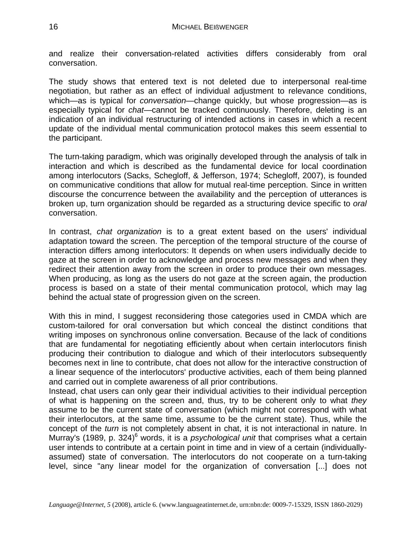and realize their conversation-related activities differs considerably from oral conversation.

The study shows that entered text is not deleted due to interpersonal real-time negotiation, but rather as an effect of individual adjustment to relevance conditions, which—as is typical for *conversation*—change quickly, but whose progression—as is especially typical for *chat*—cannot be tracked continuously. Therefore, deleting is an indication of an individual restructuring of intended actions in cases in which a recent update of the individual mental communication protocol makes this seem essential to the participant.

The turn-taking paradigm, which was originally developed through the analysis of talk in interaction and which is described as the fundamental device for local coordination among interlocutors (Sacks, Schegloff, & Jefferson, 1974; Schegloff, 2007), is founded on communicative conditions that allow for mutual real-time perception. Since in written discourse the concurrence between the availability and the perception of utterances is broken up, turn organization should be regarded as a structuring device specific to *oral* conversation.

In contrast, *chat organization* is to a great extent based on the users' individual adaptation toward the screen. The perception of the temporal structure of the course of interaction differs among interlocutors: It depends on when users individually decide to gaze at the screen in order to acknowledge and process new messages and when they redirect their attention away from the screen in order to produce their own messages. When producing, as long as the users do not gaze at the screen again, the production process is based on a state of their mental communication protocol, which may lag behind the actual state of progression given on the screen.

With this in mind, I suggest reconsidering those categories used in CMDA which are custom-tailored for oral conversation but which conceal the distinct conditions that writing imposes on synchronous online conversation. Because of the lack of conditions that are fundamental for negotiating efficiently about when certain interlocutors finish producing their contribution to dialogue and which of their interlocutors subsequently becomes next in line to contribute, chat does not allow for the interactive construction of a linear sequence of the interlocutors' productive activities, each of them being planned and carried out in complete awareness of all prior contributions.

Instead, chat users can only gear their individual activities to their individual perception of what is happening on the screen and, thus, try to be coherent only to what *they* assume to be the current state of conversation (which might not correspond with what their interlocutors, at the same time, assume to be the current state). Thus, while the concept of the *turn* is not completely absent in chat, it is not interactional in nature. In Murray's (1989, p. 324)<sup>6</sup> words, it is a *psychological unit* that comprises what a certain user intends to contribute at a certain point in time and in view of a certain (individuallyassumed) state of conversation. The interlocutors do not cooperate on a turn-taking level, since "any linear model for the organization of conversation [...] does not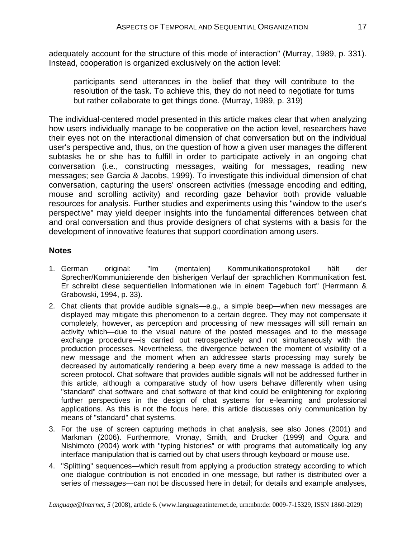adequately account for the structure of this mode of interaction" (Murray, 1989, p. 331). Instead, cooperation is organized exclusively on the action level:

participants send utterances in the belief that they will contribute to the resolution of the task. To achieve this, they do not need to negotiate for turns but rather collaborate to get things done. (Murray, 1989, p. 319)

The individual-centered model presented in this article makes clear that when analyzing how users individually manage to be cooperative on the action level, researchers have their eyes not on the interactional dimension of chat conversation but on the individual user's perspective and, thus, on the question of how a given user manages the different subtasks he or she has to fulfill in order to participate actively in an ongoing chat conversation (i.e., constructing messages, waiting for messages, reading new messages; see Garcia & Jacobs, 1999). To investigate this individual dimension of chat conversation, capturing the users' onscreen activities (message encoding and editing, mouse and scrolling activity) and recording gaze behavior both provide valuable resources for analysis. Further studies and experiments using this "window to the user's perspective" may yield deeper insights into the fundamental differences between chat and oral conversation and thus provide designers of chat systems with a basis for the development of innovative features that support coordination among users.

#### **Notes**

- 1. German original: "Im (mentalen) Kommunikationsprotokoll hält der Sprecher/Kommunizierende den bisherigen Verlauf der sprachlichen Kommunikation fest. Er schreibt diese sequentiellen Informationen wie in einem Tagebuch fort" (Herrmann & Grabowski, 1994, p. 33).
- 2. Chat clients that provide audible signals—e.g., a simple beep—when new messages are displayed may mitigate this phenomenon to a certain degree. They may not compensate it completely, however, as perception and processing of new messages will still remain an activity which—due to the visual nature of the posted messages and to the message exchange procedure—is carried out retrospectively and not simultaneously with the production processes. Nevertheless, the divergence between the moment of visibility of a new message and the moment when an addressee starts processing may surely be decreased by automatically rendering a beep every time a new message is added to the screen protocol. Chat software that provides audible signals will not be addressed further in this article, although a comparative study of how users behave differently when using "standard" chat software and chat software of that kind could be enlightening for exploring further perspectives in the design of chat systems for e-learning and professional applications. As this is not the focus here, this article discusses only communication by means of "standard" chat systems.
- 3. For the use of screen capturing methods in chat analysis, see also Jones (2001) and Markman (2006). Furthermore, Vronay, Smith, and Drucker (1999) and Ogura and Nishimoto (2004) work with "typing histories" or with programs that automatically log any interface manipulation that is carried out by chat users through keyboard or mouse use.
- 4. "Splitting" sequences—which result from applying a production strategy according to which one dialogue contribution is not encoded in one message, but rather is distributed over a series of messages—can not be discussed here in detail; for details and example analyses,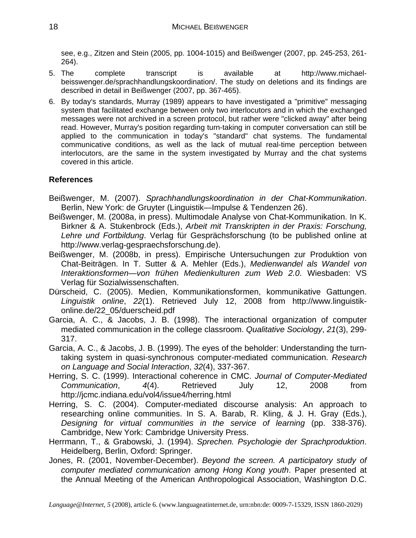see, e.g., Zitzen and Stein (2005, pp. 1004-1015) and Beißwenger (2007, pp. 245-253, 261- 264).

- 5. The complete transcript is available at http://www.michaelbeisswenger.de/sprachhandlungskoordination/. The study on deletions and its findings are described in detail in Beißwenger (2007, pp. 367-465).
- 6. By today's standards, Murray (1989) appears to have investigated a "primitive" messaging system that facilitated exchange between only two interlocutors and in which the exchanged messages were not archived in a screen protocol, but rather were "clicked away" after being read. However, Murray's position regarding turn-taking in computer conversation can still be applied to the communication in today's "standard" chat systems. The fundamental communicative conditions, as well as the lack of mutual real-time perception between interlocutors, are the same in the system investigated by Murray and the chat systems covered in this article.

# **References**

- Beißwenger, M. (2007). *Sprachhandlungskoordination in der Chat-Kommunikation*. Berlin, New York: de Gruyter (Linguistik—Impulse & Tendenzen 26).
- Beißwenger, M. (2008a, in press). Multimodale Analyse von Chat-Kommunikation. In K. Birkner & A. Stukenbrock (Eds.), *Arbeit mit Transkripten in der Praxis: Forschung, Lehre und Fortbildung*. Verlag für Gesprächsforschung (to be published online at http://www.verlag-gespraechsforschung.de).
- Beißwenger, M. (2008b, in press). Empirische Untersuchungen zur Produktion von Chat-Beiträgen. In T. Sutter & A. Mehler (Eds.), *Medienwandel als Wandel von Interaktionsformen—von frühen Medienkulturen zum Web 2.0*. Wiesbaden: VS Verlag für Sozialwissenschaften.
- Dürscheid, C. (2005). Medien, Kommunikationsformen, kommunikative Gattungen. *Linguistik online*, *22*(1). Retrieved July 12, 2008 from http://www.linguistikonline.de/22\_05/duerscheid.pdf
- Garcia, A. C., & Jacobs, J. B. (1998). The interactional organization of computer mediated communication in the college classroom. *Qualitative Sociology*, *21*(3), 299- 317.
- Garcia, A. C., & Jacobs, J. B. (1999). The eyes of the beholder: Understanding the turntaking system in quasi-synchronous computer-mediated communication. *Research on Language and Social Interaction*, *32*(4), 337-367.
- Herring, S. C. (1999). Interactional coherence in CMC. *Journal of Computer-Mediated Communication*, *4*(4). Retrieved July 12, 2008 from http://jcmc.indiana.edu/vol4/issue4/herring.html
- Herring, S. C. (2004). Computer-mediated discourse analysis: An approach to researching online communities. In S. A. Barab, R. Kling, & J. H. Gray (Eds.), *Designing for virtual communities in the service of learning* (pp. 338-376). Cambridge, New York: Cambridge University Press.
- Herrmann, T., & Grabowski, J. (1994). *Sprechen. Psychologie der Sprachproduktion*. Heidelberg, Berlin, Oxford: Springer.
- Jones, R. (2001, November-December). *Beyond the screen. A participatory study of computer mediated communication among Hong Kong youth*. Paper presented at the Annual Meeting of the American Anthropological Association, Washington D.C.